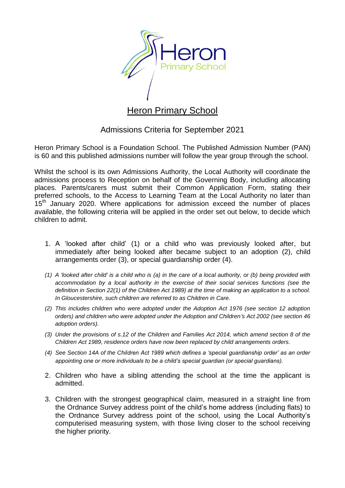

# Heron Primary School

## Admissions Criteria for September 2021

Heron Primary School is a Foundation School. The Published Admission Number (PAN) is 60 and this published admissions number will follow the year group through the school.

Whilst the school is its own Admissions Authority, the Local Authority will coordinate the admissions process to Reception on behalf of the Governing Body, including allocating places. Parents/carers must submit their Common Application Form, stating their preferred schools, to the Access to Learning Team at the Local Authority no later than 15<sup>th</sup> January 2020. Where applications for admission exceed the number of places available, the following criteria will be applied in the order set out below, to decide which children to admit.

- 1. A 'looked after child' (1) or a child who was previously looked after, but immediately after being looked after became subject to an adoption (2), child arrangements order (3), or special guardianship order (4).
- *(1) A 'looked after child' is a child who is (a) in the care of a local authority, or (b) being provided with accommodation by a local authority in the exercise of their social services functions (see the definition in Section 22(1) of the Children Act 1989) at the time of making an application to a school. In Gloucestershire, such children are referred to as Children in Care.*
- *(2) This includes children who were adopted under the Adoption Act 1976 (see section 12 adoption orders) and children who were adopted under the Adoption and Children's Act 2002 (see section 46 adoption orders).*
- *(3) Under the provisions of s.12 of the Children and Families Act 2014, which amend section 8 of the Children Act 1989, residence orders have now been replaced by child arrangements orders.*
- *(4) See Section 14A of the Children Act 1989 which defines a 'special guardianship order' as an order appointing one or more individuals to be a child's special guardian (or special guardians).*
- 2. Children who have a sibling attending the school at the time the applicant is admitted.
- 3. Children with the strongest geographical claim, measured in a straight line from the Ordnance Survey address point of the child's home address (including flats) to the Ordnance Survey address point of the school, using the Local Authority's computerised measuring system, with those living closer to the school receiving the higher priority.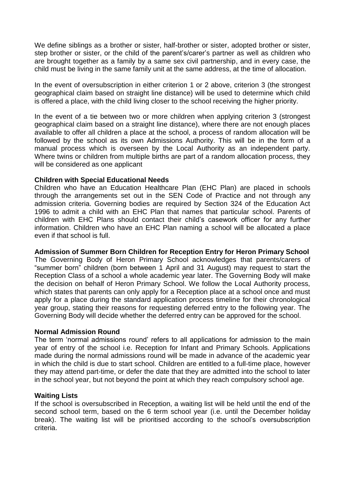We define siblings as a brother or sister, half-brother or sister, adopted brother or sister, step brother or sister, or the child of the parent's/carer's partner as well as children who are brought together as a family by a same sex civil partnership, and in every case, the child must be living in the same family unit at the same address, at the time of allocation.

In the event of oversubscription in either criterion 1 or 2 above, criterion 3 (the strongest geographical claim based on straight line distance) will be used to determine which child is offered a place, with the child living closer to the school receiving the higher priority.

In the event of a tie between two or more children when applying criterion 3 (strongest geographical claim based on a straight line distance), where there are not enough places available to offer all children a place at the school, a process of random allocation will be followed by the school as its own Admissions Authority. This will be in the form of a manual process which is overseen by the Local Authority as an independent party. Where twins or children from multiple births are part of a random allocation process, they will be considered as one applicant

## **Children with Special Educational Needs**

Children who have an Education Healthcare Plan (EHC Plan) are placed in schools through the arrangements set out in the SEN Code of Practice and not through any admission criteria. Governing bodies are required by Section 324 of the Education Act 1996 to admit a child with an EHC Plan that names that particular school. Parents of children with EHC Plans should contact their child's casework officer for any further information. Children who have an EHC Plan naming a school will be allocated a place even if that school is full.

**Admission of Summer Born Children for Reception Entry for Heron Primary School**

The Governing Body of Heron Primary School acknowledges that parents/carers of "summer born" children (born between 1 April and 31 August) may request to start the Reception Class of a school a whole academic year later. The Governing Body will make the decision on behalf of Heron Primary School. We follow the Local Authority process, which states that parents can only apply for a Reception place at a school once and must apply for a place during the standard application process timeline for their chronological year group, stating their reasons for requesting deferred entry to the following year. The Governing Body will decide whether the deferred entry can be approved for the school.

#### **Normal Admission Round**

The term 'normal admissions round' refers to all applications for admission to the main year of entry of the school i.e. Reception for Infant and Primary Schools. Applications made during the normal admissions round will be made in advance of the academic year in which the child is due to start school. Children are entitled to a full-time place, however they may attend part-time, or defer the date that they are admitted into the school to later in the school year, but not beyond the point at which they reach compulsory school age.

## **Waiting Lists**

If the school is oversubscribed in Reception, a waiting list will be held until the end of the second school term, based on the 6 term school year (i.e. until the December holiday break). The waiting list will be prioritised according to the school's oversubscription criteria.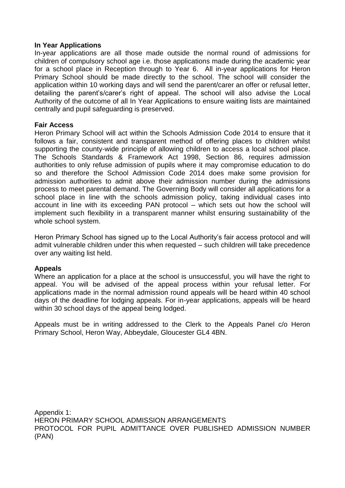## **In Year Applications**

In-year applications are all those made outside the normal round of admissions for children of compulsory school age i.e. those applications made during the academic year for a school place in Reception through to Year 6. All in-year applications for Heron Primary School should be made directly to the school. The school will consider the application within 10 working days and will send the parent/carer an offer or refusal letter, detailing the parent's/carer's right of appeal. The school will also advise the Local Authority of the outcome of all In Year Applications to ensure waiting lists are maintained centrally and pupil safeguarding is preserved.

### **Fair Access**

Heron Primary School will act within the Schools Admission Code 2014 to ensure that it follows a fair, consistent and transparent method of offering places to children whilst supporting the county-wide principle of allowing children to access a local school place. The Schools Standards & Framework Act 1998, Section 86, requires admission authorities to only refuse admission of pupils where it may compromise education to do so and therefore the School Admission Code 2014 does make some provision for admission authorities to admit above their admission number during the admissions process to meet parental demand. The Governing Body will consider all applications for a school place in line with the schools admission policy, taking individual cases into account in line with its exceeding PAN protocol – which sets out how the school will implement such flexibility in a transparent manner whilst ensuring sustainability of the whole school system.

Heron Primary School has signed up to the Local Authority's fair access protocol and will admit vulnerable children under this when requested – such children will take precedence over any waiting list held.

#### **Appeals**

Where an application for a place at the school is unsuccessful, you will have the right to appeal. You will be advised of the appeal process within your refusal letter. For applications made in the normal admission round appeals will be heard within 40 school days of the deadline for lodging appeals. For in-year applications, appeals will be heard within 30 school days of the appeal being lodged.

Appeals must be in writing addressed to the Clerk to the Appeals Panel c/o Heron Primary School, Heron Way, Abbeydale, Gloucester GL4 4BN.

Appendix 1: HERON PRIMARY SCHOOL ADMISSION ARRANGEMENTS PROTOCOL FOR PUPIL ADMITTANCE OVER PUBLISHED ADMISSION NUMBER (PAN)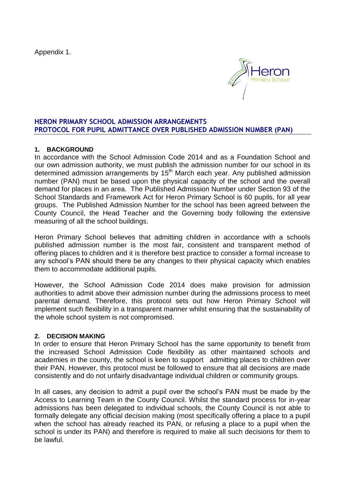Appendix 1.



## **HERON PRIMARY SCHOOL ADMISSION ARRANGEMENTS PROTOCOL FOR PUPIL ADMITTANCE OVER PUBLISHED ADMISSION NUMBER (PAN)**

## **1. BACKGROUND**

In accordance with the School Admission Code 2014 and as a Foundation School and our own admission authority, we must publish the admission number for our school in its determined admission arrangements by  $15<sup>th</sup>$  March each year. Any published admission number (PAN) must be based upon the physical capacity of the school and the overall demand for places in an area. The Published Admission Number under Section 93 of the School Standards and Framework Act for Heron Primary School is 60 pupils, for all year groups. The Published Admission Number for the school has been agreed between the County Council, the Head Teacher and the Governing body following the extensive measuring of all the school buildings.

Heron Primary School believes that admitting children in accordance with a schools published admission number is the most fair, consistent and transparent method of offering places to children and it is therefore best practice to consider a formal increase to any school's PAN should there be any changes to their physical capacity which enables them to accommodate additional pupils.

However, the School Admission Code 2014 does make provision for admission authorities to admit above their admission number during the admissions process to meet parental demand. Therefore, this protocol sets out how Heron Primary School will implement such flexibility in a transparent manner whilst ensuring that the sustainability of the whole school system is not compromised.

## **2. DECISION MAKING**

In order to ensure that Heron Primary School has the same opportunity to benefit from the increased School Admission Code flexibility as other maintained schools and academies in the county, the school is keen to support admitting places to children over their PAN. However, this protocol must be followed to ensure that all decisions are made consistently and do not unfairly disadvantage individual children or community groups.

In all cases, any decision to admit a pupil over the school's PAN must be made by the Access to Learning Team in the County Council. Whilst the standard process for in-year admissions has been delegated to individual schools, the County Council is not able to formally delegate any official decision making (most specifically offering a place to a pupil when the school has already reached its PAN, or refusing a place to a pupil when the school is under its PAN) and therefore is required to make all such decisions for them to be lawful.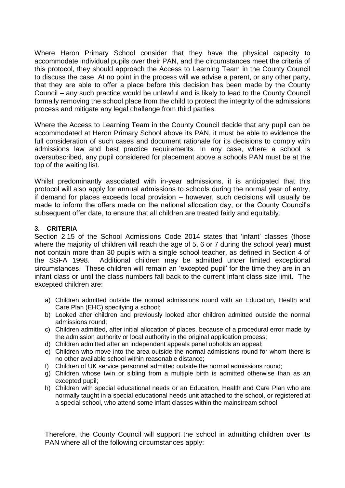Where Heron Primary School consider that they have the physical capacity to accommodate individual pupils over their PAN, and the circumstances meet the criteria of this protocol, they should approach the Access to Learning Team in the County Council to discuss the case. At no point in the process will we advise a parent, or any other party, that they are able to offer a place before this decision has been made by the County Council – any such practice would be unlawful and is likely to lead to the County Council formally removing the school place from the child to protect the integrity of the admissions process and mitigate any legal challenge from third parties.

Where the Access to Learning Team in the County Council decide that any pupil can be accommodated at Heron Primary School above its PAN, it must be able to evidence the full consideration of such cases and document rationale for its decisions to comply with admissions law and best practice requirements. In any case, where a school is oversubscribed, any pupil considered for placement above a schools PAN must be at the top of the waiting list.

Whilst predominantly associated with in-year admissions, it is anticipated that this protocol will also apply for annual admissions to schools during the normal year of entry, if demand for places exceeds local provision – however, such decisions will usually be made to inform the offers made on the national allocation day, or the County Council's subsequent offer date, to ensure that all children are treated fairly and equitably.

## **3. CRITERIA**

Section 2.15 of the School Admissions Code 2014 states that 'infant' classes (those where the majority of children will reach the age of 5, 6 or 7 during the school year) **must not** contain more than 30 pupils with a single school teacher, as defined in Section 4 of the SSFA 1998. Additional children may be admitted under limited exceptional circumstances. These children will remain an 'excepted pupil' for the time they are in an infant class or until the class numbers fall back to the current infant class size limit. The excepted children are:

- a) Children admitted outside the normal admissions round with an Education, Health and Care Plan (EHC) specifying a school;
- b) Looked after children and previously looked after children admitted outside the normal admissions round;
- c) Children admitted, after initial allocation of places, because of a procedural error made by the admission authority or local authority in the original application process;
- d) Children admitted after an independent appeals panel upholds an appeal;
- e) Children who move into the area outside the normal admissions round for whom there is no other available school within reasonable distance;
- f) Children of UK service personnel admitted outside the normal admissions round;
- g) Children whose twin or sibling from a multiple birth is admitted otherwise than as an excepted pupil;
- h) Children with special educational needs or an Education, Health and Care Plan who are normally taught in a special educational needs unit attached to the school, or registered at a special school, who attend some infant classes within the mainstream school

Therefore, the County Council will support the school in admitting children over its PAN where all of the following circumstances apply: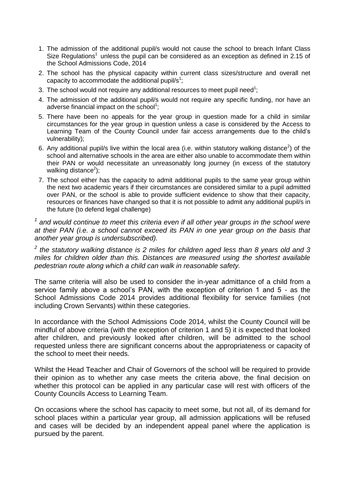- 1. The admission of the additional pupil/s would not cause the school to breach Infant Class Size Regulations<sup>1</sup> unless the pupil can be considered as an exception as defined in 2.15 of the School Admissions Code, 2014
- 2. The school has the physical capacity within current class sizes/structure and overall net capacity to accommodate the additional pupil/s<sup>1</sup>;
- 3. The school would not require any additional resources to meet pupil need<sup>1</sup>;
- 4. The admission of the additional pupil/s would not require any specific funding, nor have an adverse financial impact on the school<sup>1</sup>;
- 5. There have been no appeals for the year group in question made for a child in similar circumstances for the year group in question unless a case is considered by the Access to Learning Team of the County Council under fair access arrangements due to the child's vulnerability);
- 6. Any additional pupil/s live within the local area (i.e. within statutory walking distance<sup>2</sup>) of the school and alternative schools in the area are either also unable to accommodate them within their PAN or would necessitate an unreasonably long journey (in excess of the statutory walking distance<sup>2</sup>);
- 7. The school either has the capacity to admit additional pupils to the same year group within the next two academic years if their circumstances are considered similar to a pupil admitted over PAN, or the school is able to provide sufficient evidence to show that their capacity, resources or finances have changed so that it is not possible to admit any additional pupil/s in the future (to defend legal challenge)

<sup>1</sup> and would continue to meet this criteria even if all other year groups in the school were *at their PAN (i.e. a school cannot exceed its PAN in one year group on the basis that another year group is undersubscribed).*

*2 the statutory walking distance is 2 miles for children aged less than 8 years old and 3 miles for children older than this. Distances are measured using the shortest available pedestrian route along which a child can walk in reasonable safety.*

The same criteria will also be used to consider the in-year admittance of a child from a service family above a school's PAN, with the exception of criterion 1 and 5 - as the School Admissions Code 2014 provides additional flexibility for service families (not including Crown Servants) within these categories.

In accordance with the School Admissions Code 2014, whilst the County Council will be mindful of above criteria (with the exception of criterion 1 and 5) it is expected that looked after children, and previously looked after children, will be admitted to the school requested unless there are significant concerns about the appropriateness or capacity of the school to meet their needs.

Whilst the Head Teacher and Chair of Governors of the school will be required to provide their opinion as to whether any case meets the criteria above, the final decision on whether this protocol can be applied in any particular case will rest with officers of the County Councils Access to Learning Team.

On occasions where the school has capacity to meet some, but not all, of its demand for school places within a particular year group, all admission applications will be refused and cases will be decided by an independent appeal panel where the application is pursued by the parent.